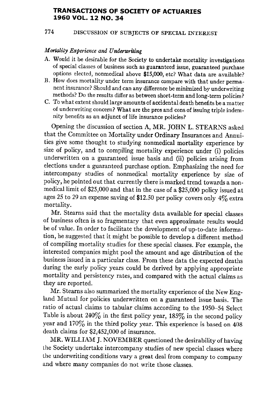## **TRANSACTIONS OF SOCIETY OF ACTUARIES 1960 VOL. 12 NO. 34**

## 774 DISCUSSION OF SUBJECTS OF SPECIAL INTEREST

## *Mortality Experience and Underwriting*

- A. Would it be desirable for the Society to undertake mortality investigations of special classes of business such as guaranteed issue, guaranteed purchase options elected, nonmedical above \$15,000, etc? What data are available?
- B. How does mortality under term insurance compare with that under permanent insurance? Should and can any difference be minimized by underwriting methods? Do the results differ as between short-term and long-term policies?
- C. To what extent should large amounts of accidental death benefits be a matter of underwriting concern? What are the pros and cons of issuing triple indemnity benefits as an adjunct of life insurance policies?

Opening the discussion of section A, MR. JOHN L. STEARNS asked that the Committee on Mortality under Ordinary Insurances and Annuities give some thought to studying nonmedical mortality experience by size of policy, and to compiling mortality experience under (i) policies underwritten on a guaranteed issue basis and (ii) policies arising from elections under a guaranteed purchase option. Emphasizing the need for intercompany studies of nonmedical mortality experience by size of policy, he pointed out that currently there is marked trend towards a nonmedical limit of \$25,000 and that in the case of a \$25,000 policy issued at ages 25 to 29 an expense saving of \$12.50 per policy covers only  $4\%$  extra mortality.

Mr. Stearns said that the mortality data available for special classes of business often is so fragmentary that even approximate results would be of value. In order to facilitate the development of up-to-date information, he suggested that it might be possible to develop a different method of compiling mortality studies for these special classes. For example, the interested companies might pool the amount and age distribution of the business issued in a particular class. From these data the expected deaths during the early policy years could be derived by applying appropriate mortality and persistency rates, and compared with the actual claims as they are reported.

Mr. Stearns also summarized the mortality experience of the New England Mutual for policies underwritten on a guaranteed issue basis. The ratio of actual claims to tabular claims according to the 1950-54 Select Table is about 240% in the first policy year, 185% in the second policy year and 170% in the third policy year. This experience is based on 408 death claims for \$2,452,000 of insurance.

MR. WILLIAM J. NOVEMBER questioned the desirability of having the Society undertake intercompany studies of new special classes where the underwriting conditions vary a great deal from company to company and where many companies do not write those classes.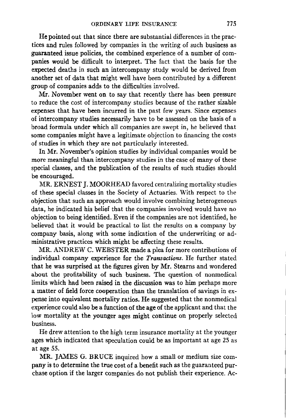He pointed out that since there are substantial differences in the practices and rules followed by companies in the writing of such business as guaranteed issue policies, the combined experience of a number of companies would be difficult to interpret. The fact that the basis for the expected deaths in such an intercompany study would be derived from another set of data that might well have been contributed by a different group of companies adds to the difficulties involved.

Mr. November went on to say that recently there has been pressure to reduce the cost of intercompany studies because of the rather sizable expenses that have been incurred in the past few years. Since expenses of intercompany studies necessarily have to be assessed on the basis of a broad formula under which all companies are swept in, he believed that some companies might have a legitimate objection to financing the costs of studies in which they are not particularly interested.

In Mr. November's opinion studies by individual companies would be more meaningful than intercompany studies in the case of many of these special classes, and the publication of the results of such studies should be encouraged.

MR. ERNEST J. MOORHEAD favored centralizing mortality studies of these special classes in the Society of Actuaries. With respect to the objection that such an approach would involve combining heterogeneous data, he indicated his belief that the companies involved would have no objection to being identified. Even if the companies are not identified, he believed that it would be practical to list the results on a company by company basis, along with some indication of the underwriting or administrative practices which might be affecting these results.

MR. ANDREW C. WEBSTER made a plea for more contributions of individual company experience for the *Transactions.* He further stated that he was surprised at the figures given by Mr. Stearns and wondered about the profitability of such business. The question of nonmedical limits which had been raised in the discussion was to him perhaps more a matter of field force cooperation than the translation of savings in expense into equivalent mortality ratios. He suggested that the nonmedical experience could also be a function of the age of the applicant and that the low mortality at the younger ages might continue on properly selected business.

He drew attention to the high term insurance mortality at the younger ages which indicated that speculation could be as important at age 25 as at age 55.

MR. JAMES G. BRUCE inquired how a small or medium size company is to determine the true cost of a benefit such as the guaranteed purchase option if the larger companies do not publish their experience. Ac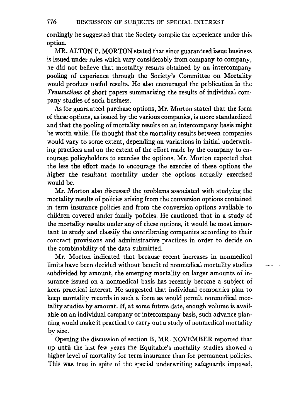cordingly he suggested that the Society compile the experience under this option.

MR. ALTON P. MORTON stated that since guaranteed issue business is issued under rules which vary considerably from company to company, he did not believe that mortality results obtained by an intercompany pooling of experience through the Society's Committee on Mortality would produce useful results. He also encouraged the publication in the *Transactions* of short papers summarizing the results of individual company studies of such business.

As for guaranteed purchase options, Mr. Morton stated that the form of these options, as issued by the various companies, is more standardized and that the pooling of mortality results on an intercompany basis might be worth while. He thought that the mortality results between companies would vary to some extent, depending on variations in initial underwriting practices and on the extent of the effort made by the company to encourage policyholders to exercise the options. Mr. Morton expected that the less the effort made to encourage the exercise of these options the higher the resultant mortality under the options actually exercised would be.

Mr. Morton also discussed the problems associated with studying the mortality results of policies arising from the conversion options contained in term insurance policies and from the conversion options available to children covered under family policies. He cautioned that in a study of the mortality results under any of these options, it would be most important to study and classify the contributing companies according to their contract provisions and administrative practices in order to decide on the combinability of the data submitted.

Mr. Morton indicated that because recent increases in nonmedical limits have been decided without benefit of nonmedical mortality studies subdivided by amount, the emerging mortality on larger amounts of insurance issued on a nonmedical basis has recently become a subject of keen practical interest. He suggested that individual companies plan to keep mortality records in such a form as would permit nonmedical mortality studies by amount. If, at some future date, enough volume is available on an individual company or intercompany basis, such advance planning would make it practical to carry out a study of nonmedical mortality by size.

Opening the discussion of section B, MR. NOVEMBER reported that up until the last few years the Equitable's mortality studies showed a higher level of mortality for term insurance than for permanent policies. This was true in spite of the special underwriting safeguards imposed,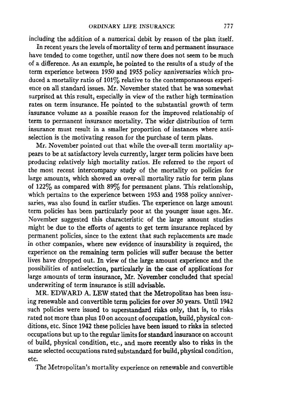including the addition of a numerical debit by reason of the plan itself.

In recent years the levels of mortality of term and permanent insurance have tended to come together, until now there does not seem to be much of a difference. As an example, he pointed to the results of a study of the term experience between 1950 and 1955 policy anniversaries which produced a mortality ratio of  $101\%$  relative to the contemporaneous experience on all standard issues. Mr. November stated that he was somewhat surprised at this result, especially in view of the rather high termination rates on term insurance. He pointed to the substantial growth of term insurance volume as a possible reason for the improved relationship of term to permanent insurance mortality. The wider distribution of term insurance must result in a smaller proportion of instances where antiselection is the motivating reason for the purchase of term plans.

Mr. November pointed out that while the over-all term mortality appears to be at satisfactory levels currently, larger term policies have been producing relatively high mortality ratios. He referred to the report of the most recent intercompany study of the mortality on policies for large amounts, which showed an over-all mortality ratio for term plans of 122% as compared with  $89\%$  for permanent plans. This relationship, which pertains to the experience between 1953 and 1958 policy anniversaries, was also found in earlier studies. The experience on large amount term policies has been particularly poor at the younger issue ages. Mr. November suggested this characteristic of the large amount studies might be due to the efforts of agents to get term insurance replaced by permanent policies, since to the extent that such replacements are made in other companies, where new evidence of insurability is required, the experience on the remaining term policies will suffer because the better lives have dropped out. In view of the large amount experience and the possibilities of antiselection, particularly in the case of applications for large amounts of term insurance, Mr. November concluded that special underwriting of term insurance is still advisable.

MR. EDWARD A. LEW stated that the Metropolitan has been issuing renewable and convertible term policies for over 50 years. Until 1942 such policies were issued to superstandard risks only, that is, to risks rated not more than plus 10 on account of occupation, build, physical conditions, etc. Since 1942 these policies have been issued to risks in selected occupations but up to the regular limits for standard insurance on account of build, physical condition, etc., and more recently also to risks in the same selected occupations rated substandard for build, physical condition, etc.

The Metropolitan's mortality experience on renewable and convertible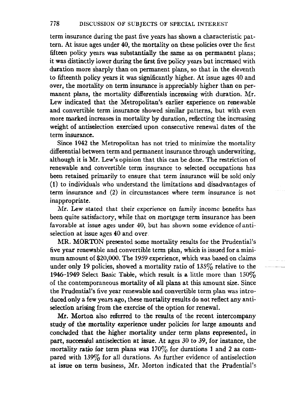term insurance during the past five years has shown a characteristic pattern. At issue ages under 40, the mortality on these policies over the first fifteen policy years was substantially the same as on permanent plans; it was distinctly lower during the first five policy years but increased with duration more sharply than on permanent plans, so that in the eleventh to fifteenth policy years it was significantly higher. At issue ages 40 and over, the mortality on term insurance is appreciably higher than on permanent plans, the mortality differentials increasing with duration. Mr. Lew indicated that the Metropolitan's earlier experience on renewable and convertible term insurance showed similar patterns, but with even more marked increases in mortality by duration, reflecting the increasing weight of antiselection exercised upon consecutive renewal dates of the term insurance.

Since 1942 the Metropolitan has not tried to minimize the mortality differential between term and permanent insurance through underwriting, although it is Mr. Lew's opinion that this can be done. The restriction of renewable and convertible term insurance to selected occupations has been retained primarily to ensure that term insurance will be sold only (1) to individuals who understand the limitations and disadvantages of term insurance and (2) in circumstances where term insurance is not inappropriate.

Mr. Lew stated that their experience on family income benefits has been quite satisfactory, while that on mortgage term insurance has been favorable at issue ages under 40, but has shown some evidence of antiselection at issue ages 40 and over

MR. MORTON presented some mortality results for the Prudential's five year renewable and convertible term plan, which is issued for a minimum amount of \$20,000. The 1959 experience, which was based on claims under only 19 policies, showed a mortality ratio of  $135\%$  relative to the 1946-1949 Select Basic Table, which result is a little more than  $150\%$ of the contemporaneous mortality of all plans at this amount size. Since the Prudential's five year renewable and convertible term plan was introduced only a few years ago, these mortality results do not reflect any antiselection arising from the exercise of the option for renewal.

Mr. Morton also referred to the results of the recent intercompany study of the mortality experience under policies for large amounts and concluded that the higher mortality under term plans represented, in part, successtul antiselection at issue. At ages 30 to 39, for instance, the mortality ratio for term plans was  $170\%$  for durations 1 and 2 as compared with  $139\%$  for all durations. As further evidence of antiselection at issue on term business, Mr. Morton indicated that the Prudential's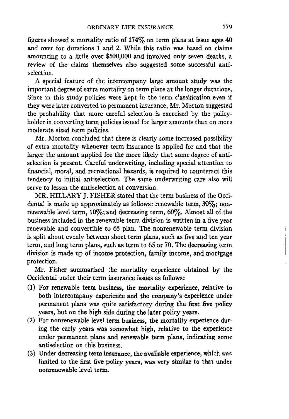figures showed a mortality ratio of  $174\%$  on term plans at issue ages  $40$ and over for durations 1 and 2. While this ratio was based on claims amounting to a little over \$500,000 and involved only seven deaths, a review of the claims themselves also suggested some successful antiselection.

A special feature of the intercompany large amount study was the important degree of extra mortality on term plans at the longer durations. Since in this study policies were kept in the term classification even if they were later converted to permanent insurance, Mr. Morton suggested the probability that more careful selection is exercised by the policyholder in converting term policies issued for larger amounts than on more moderate sized term policies.

Mr. Morton concluded that there is clearly some increased possibility of extra mortality whenever term insurance is applied for and that the larger the amount applied for the more likely that some degree of antiselection is present. Careful underwriting, including special attention to financial, moral, and recreational hazards, is required to counteract this tendency to initial antiselection. The same underwriting care also will serve to lessen the antiselection at conversion.

MR. HILLARY J. FISHER stated that the term business of the Occidental is made up approximately as follows: renewable term,  $30\%$ ; nonrenewable level term,  $10\%$ ; and decreasing term,  $60\%$ . Almost all of the business included in the renewable term division is written in a five year renewable and convertible to 65 plan. The nonrenewable term division is split about evenly between short term plans, such as five and ten year term, and long term plans, such as term to 65 or 70. The decreasing term division is made up of income protection, family income, and mortgage protection.

Mr. Fisher summarized the mortality experience obtained by the Occidental under their term insurance issues as follows:

- (1) For renewable term business, the mortality experience, relative to both intercompany experience and the company's experience under permanent plans was quite satisfactory during the first five policy years, but on the high side during the later policy years.
- (2) For nonrenewable level term business, the mortality experience during the early years was somewhat high, relative to the experience under permanent plans and renewable term plans, indicating some antiselection on this business.
- (3) Under decreasing term insurance, the available experience, which was limited to the first five policy years, was very similar to that under nonrenewable level term.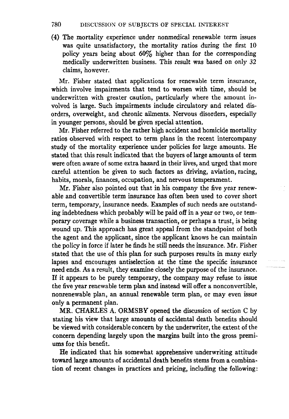## 780 DISCUSSION OF SUBJECTS OF SPECIAL INTEREST

(4) The mortality experience under nonmedical renewable term issues was quite unsatisfactory, the mortality ratios during the first 10 policy years being about  $60\%$  higher than for the corresponding medically underwritten business. This result was based on only 32 claims, however.

Mr. Fisher stated that applications for renewable term insurance, which involve impairments that tend to worsen with time, should be underwritten with greater caution, particularly where the amount involved is large. Such impairments include circulatory and related disorders, overweight, and chronic ailments. Nervous disorders, especially in younger persons, should be given special attention.

Mr. Fisher referred to the rather high accident and homicide mortality ratios observed with respect to term plans in the recent intercompany study of the mortality experience under policies for large amounts. He stated that this result indicated that the buyers of large amounts of term were often aware of some extra hazard in their lives, and urged that more careful attention be given to such factors as driving, aviation, racing, habits, morals, finances, occupation, and nervous temperament.

Mr. Fisher also pointed out that in his company the five year renewable and convertible term insurance has often been used to cover short term, temporary, insurance needs. Examples of such needs are outstanding indebtedness which probably will be paid off in a year or two, or temporary coverage while a business transaction, or perhaps a *trust,* is being wound up. This approach has great appeal from the standpoint of both the agent and the applicant, since the applicant knows he can maintain the policy in force if later he finds he still needs the insurance. Mr. Fisher stated that the use of this plan for such purposes results in many early lapses and encourages antiselection at the time the specific insurance need ends. As a result, they examine closely the purpose of the insurance. If it appears to be purely temporary, the company may refuse to issue the five year renewable term plan and instead will offer a nonconvertible, nonrenewable plan, an annual renewable term plan, or may even issue only a permanent plan.

MR. CHARLES A. ORMSBY opened the discussion of section C by stating his view that large amounts of accidental death benefits should be viewed with considerable concern by the underwriter, the extent of the concern depending largely upon the margins built into the gross premiums for this benefit.

He indicated that his somewhat apprehensive underwriting attitude toward large amounts of accidental death benefits stems from a combination of recent changes in practices and pricing, including the following: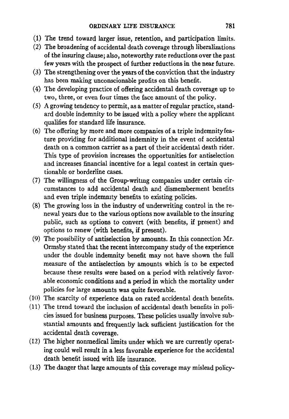- (1) The trend toward larger issue, retention, and participation limits.
- (2) The broadening of accidental death coverage through liberalizations of the insuring clause; also, noteworthy rate reductions over the past few years with the prospect of further reductions in the near future.
- (3) The strengthening over the years of the conviction that the industry has been making unconscionable profits on this benefit.
- (4) The developing practice of offering accidental death coverage up to two, three, or even four times the face amount of the policy.
- (5) A growing tendency to permit, as a matter of regular practice, standard double indemnity to be issued with a policy where the applicant qualifies for standard life insurance.
- (6) The offering by more and more companies of a triple indemnityfeature providing for additional indemnity in the event of accidental death on a common carrier as a part of their accidental death rider. This type of provision increases the opportunities for antiselection and increases financial incentive for a legal contest in certain questionable or borderline eases.
- (7) The willingness of the Group-writing companies under certain circumstances to add accidental death and dismemberment benefits and even triple indemmty benefits to existing policies.
- (8) The growing loss in the industry of underwriting control in the renewal years due to the various options now available to the insuring public, such as options to convert (with benefits, if present) and options to renew (with benefits, if present).
- (9) The possibility of antiselection by amounts. In this connection Mr. Ormsby stated that the recent intercompany study of the experience under the double indemnity benefit may not have shown the full measure of the antiselection by amounts which is to be expected because these results were based on a period with relatively favorable economic conditions and a period in which the mortality under policies for large amounts was quite favorable.
- (10) The scarcity of experience data on rated accidental death benefits.
- (11) The trend toward the inclusion of accidental death benefits in policies issued for business purposes. These policies usually involve substantial amounts and frequently lack sufficient justification for the accidental death coverage.
- (12) The higher nonmedieal limits under which we are currently operating could well result in a less favorable experience for the accidental death benefit issued with life insurance.
- (13) The danger that large amounts of this coverage may mislead policy-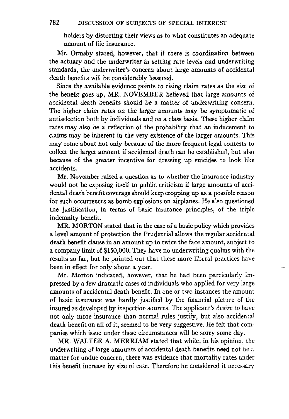holders by distorting their views as to what constitutes an adequate mount of life insurance.

Mr. Ormsby stated, however, that if there is coordination between the actuary and the underwriter in setting rate levels and underwriting standards, the underwriter's concern about large amounts of accidental death benefits will be considerably lessened.

Since the available evidence points to rising claim rates as the size of the benefit goes up, MR. NOVEMBER believed that large amounts of accidental death benefits should be a matter of underwriting concern. The higher claim rates on the larger amounts may be symptomatic of antiselection both by individuals and on a class basis. These higher claim rates may also be a reflection of the probability that an inducement to claims may be inherent in the very existence of the larger amounts. This may come about not only because of the more frequent legal contests to collect the larger amount if accidental death can be established, but also because of the greater incentive for dressing up suicides to look like accidents.

Mr. November raised a question as to whether the insurance industry would not be exposing itself to public criticism if large amounts of accidental death benefit coverage should keep cropping up as a possible reason for such occurrences as bomb explosions on airplanes. He also questioned the justification, in terms of basic insurance principles, of the triple indemnity benefit.

MR. MORTON stated that in the case of a basic policy which provides a level amount of protection the Prudential allows the regular accidental death benefit clause in an amount up to twice the face amount, subject to a company limit of \$150,000. They have no underwriting qualms with the results so far, but he pointed out that these more liberal practices have been in effect for only about a year.

Mr. Morton indicated, however, that he had been particularly impressed by a few dramatic cases of individuals who applied for very large amounts of accidental death benefit. In one or two instances the amount of basic insurance was hardly justified by the financial picture of the insured as developed by inspection sources. The applicant's desire to have not only more insurance than normal rules justify, but also accidental death benefit on all of it, seemed to be very suggestive. He felt that companies which issue under these circumstances will be sorry some day.

MR. WALTER A. MERRIAM stated that while, in his opinion, the underwriting of large amounts of accidental death benefits need not be a matter for undue concern, there was evidence that mortality rates under this benefit increase by size of case. Therefore he considered it necessary